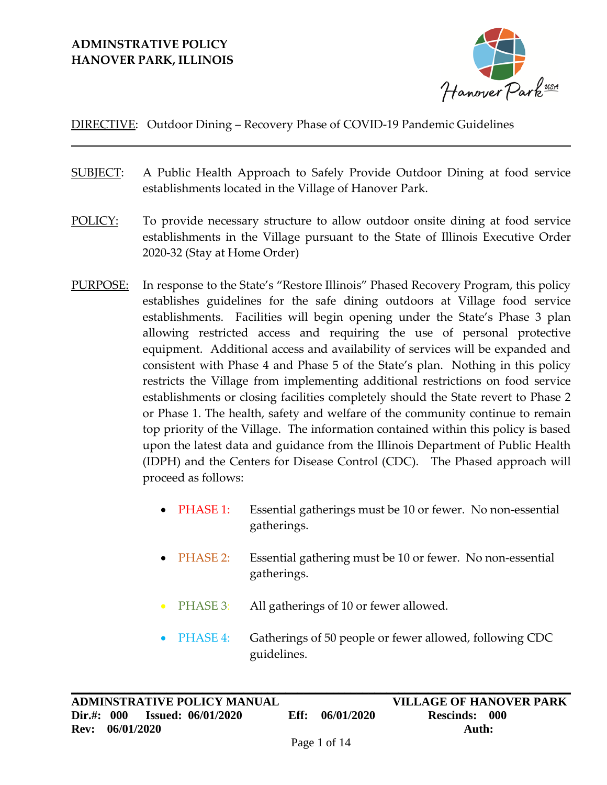## **ADMINSTRATIVE POLICY HANOVER PARK, ILLINOIS**



### DIRECTIVE: Outdoor Dining – Recovery Phase of COVID-19 Pandemic Guidelines

- SUBJECT: A Public Health Approach to Safely Provide Outdoor Dining at food service establishments located in the Village of Hanover Park.
- POLICY: To provide necessary structure to allow outdoor onsite dining at food service establishments in the Village pursuant to the State of Illinois Executive Order 2020-32 (Stay at Home Order)
- PURPOSE: In response to the State's "Restore Illinois" Phased Recovery Program, this policy establishes guidelines for the safe dining outdoors at Village food service establishments. Facilities will begin opening under the State's Phase 3 plan allowing restricted access and requiring the use of personal protective equipment. Additional access and availability of services will be expanded and consistent with Phase 4 and Phase 5 of the State's plan. Nothing in this policy restricts the Village from implementing additional restrictions on food service establishments or closing facilities completely should the State revert to Phase 2 or Phase 1. The health, safety and welfare of the community continue to remain top priority of the Village. The information contained within this policy is based upon the latest data and guidance from the Illinois Department of Public Health (IDPH) and the Centers for Disease Control (CDC). The Phased approach will proceed as follows:
	- PHASE 1: Essential gatherings must be 10 or fewer. No non-essential gatherings.
	- PHASE 2: Essential gathering must be 10 or fewer. No non-essential gatherings.
	- PHASE 3: All gatherings of 10 or fewer allowed.
	- PHASE 4: Gatherings of 50 people or fewer allowed, following CDC guidelines.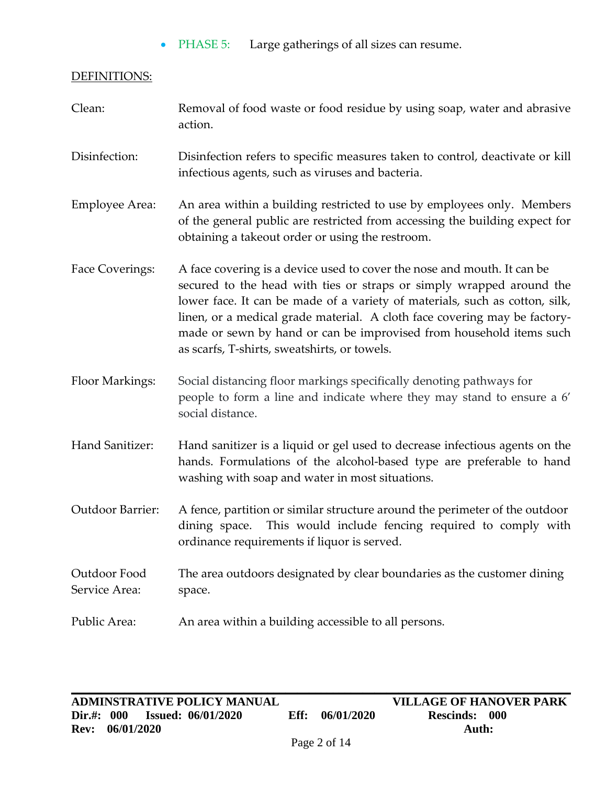• PHASE 5: Large gatherings of all sizes can resume.

### DEFINITIONS:

| Clean:                        | Removal of food waste or food residue by using soap, water and abrasive<br>action.                                                                                                                                                                                                                                                                                                                                                 |
|-------------------------------|------------------------------------------------------------------------------------------------------------------------------------------------------------------------------------------------------------------------------------------------------------------------------------------------------------------------------------------------------------------------------------------------------------------------------------|
| Disinfection:                 | Disinfection refers to specific measures taken to control, deactivate or kill<br>infectious agents, such as viruses and bacteria.                                                                                                                                                                                                                                                                                                  |
| Employee Area:                | An area within a building restricted to use by employees only. Members<br>of the general public are restricted from accessing the building expect for<br>obtaining a takeout order or using the restroom.                                                                                                                                                                                                                          |
| Face Coverings:               | A face covering is a device used to cover the nose and mouth. It can be<br>secured to the head with ties or straps or simply wrapped around the<br>lower face. It can be made of a variety of materials, such as cotton, silk,<br>linen, or a medical grade material. A cloth face covering may be factory-<br>made or sewn by hand or can be improvised from household items such<br>as scarfs, T-shirts, sweatshirts, or towels. |
| Floor Markings:               | Social distancing floor markings specifically denoting pathways for<br>people to form a line and indicate where they may stand to ensure a 6'<br>social distance.                                                                                                                                                                                                                                                                  |
| Hand Sanitizer:               | Hand sanitizer is a liquid or gel used to decrease infectious agents on the<br>hands. Formulations of the alcohol-based type are preferable to hand<br>washing with soap and water in most situations.                                                                                                                                                                                                                             |
| Outdoor Barrier:              | A fence, partition or similar structure around the perimeter of the outdoor<br>This would include fencing required to comply with<br>dining space.<br>ordinance requirements if liquor is served.                                                                                                                                                                                                                                  |
| Outdoor Food<br>Service Area: | The area outdoors designated by clear boundaries as the customer dining<br>space.                                                                                                                                                                                                                                                                                                                                                  |
| Public Area:                  | An area within a building accessible to all persons.                                                                                                                                                                                                                                                                                                                                                                               |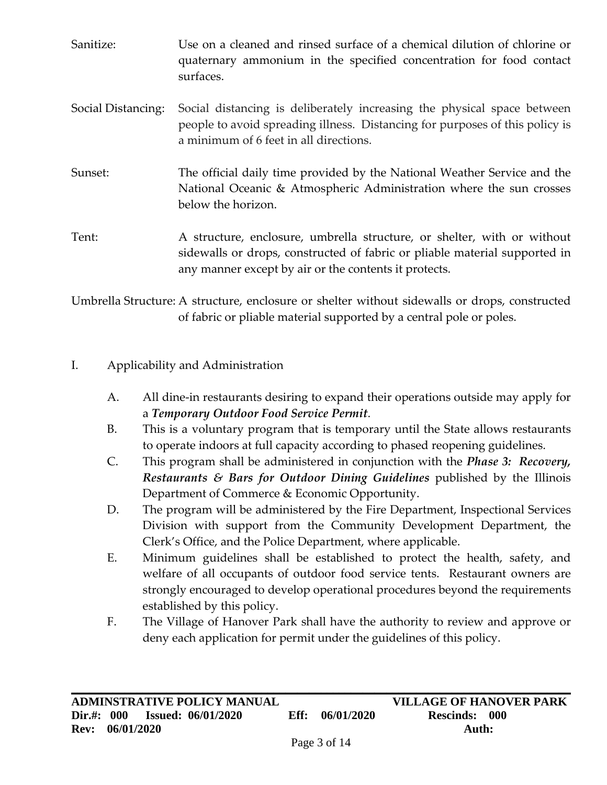- Sanitize: Use on a cleaned and rinsed surface of a chemical dilution of chlorine or quaternary ammonium in the specified concentration for food contact surfaces. Social Distancing: Social distancing is deliberately increasing the physical space between people to avoid spreading illness. Distancing for purposes of this policy is a minimum of 6 feet in all directions.
- Sunset: The official daily time provided by the National Weather Service and the National Oceanic & Atmospheric Administration where the sun crosses below the horizon.

Tent: A structure, enclosure, umbrella structure, or shelter, with or without sidewalls or drops, constructed of fabric or pliable material supported in any manner except by air or the contents it protects.

Umbrella Structure: A structure, enclosure or shelter without sidewalls or drops, constructed of fabric or pliable material supported by a central pole or poles.

# I. Applicability and Administration

- A. All dine-in restaurants desiring to expand their operations outside may apply for a *Temporary Outdoor Food Service Permit*.
- B. This is a voluntary program that is temporary until the State allows restaurants to operate indoors at full capacity according to phased reopening guidelines.
- C. This program shall be administered in conjunction with the *Phase 3: Recovery, Restaurants & Bars for Outdoor Dining Guidelines* published by the Illinois Department of Commerce & Economic Opportunity.
- D. The program will be administered by the Fire Department, Inspectional Services Division with support from the Community Development Department, the Clerk's Office, and the Police Department, where applicable.
- E. Minimum guidelines shall be established to protect the health, safety, and welfare of all occupants of outdoor food service tents. Restaurant owners are strongly encouraged to develop operational procedures beyond the requirements established by this policy.
- F. The Village of Hanover Park shall have the authority to review and approve or deny each application for permit under the guidelines of this policy.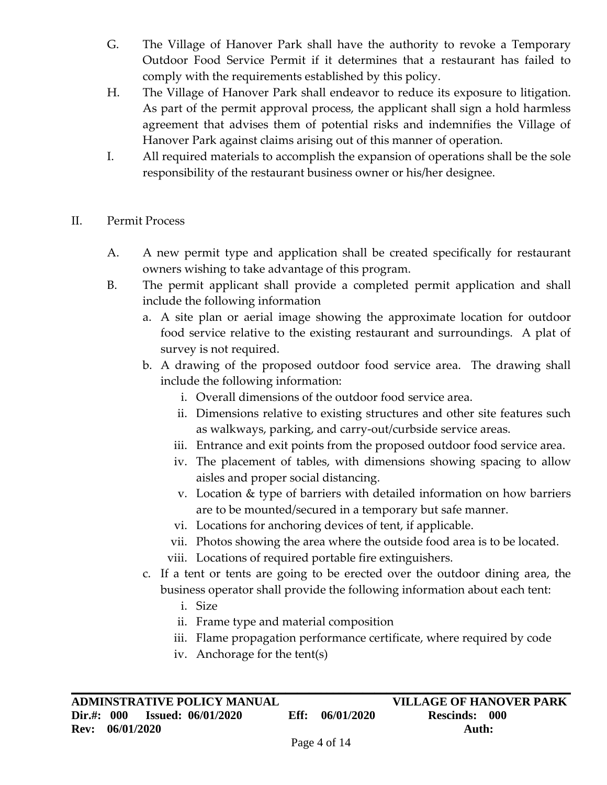- G. The Village of Hanover Park shall have the authority to revoke a Temporary Outdoor Food Service Permit if it determines that a restaurant has failed to comply with the requirements established by this policy.
- H. The Village of Hanover Park shall endeavor to reduce its exposure to litigation. As part of the permit approval process, the applicant shall sign a hold harmless agreement that advises them of potential risks and indemnifies the Village of Hanover Park against claims arising out of this manner of operation.
- I. All required materials to accomplish the expansion of operations shall be the sole responsibility of the restaurant business owner or his/her designee.
- II. Permit Process
	- A. A new permit type and application shall be created specifically for restaurant owners wishing to take advantage of this program.
	- B. The permit applicant shall provide a completed permit application and shall include the following information
		- a. A site plan or aerial image showing the approximate location for outdoor food service relative to the existing restaurant and surroundings. A plat of survey is not required.
		- b. A drawing of the proposed outdoor food service area. The drawing shall include the following information:
			- i. Overall dimensions of the outdoor food service area.
			- ii. Dimensions relative to existing structures and other site features such as walkways, parking, and carry-out/curbside service areas.
			- iii. Entrance and exit points from the proposed outdoor food service area.
			- iv. The placement of tables, with dimensions showing spacing to allow aisles and proper social distancing.
			- v. Location & type of barriers with detailed information on how barriers are to be mounted/secured in a temporary but safe manner.
			- vi. Locations for anchoring devices of tent, if applicable.
			- vii. Photos showing the area where the outside food area is to be located.
			- viii. Locations of required portable fire extinguishers.
		- c. If a tent or tents are going to be erected over the outdoor dining area, the business operator shall provide the following information about each tent:
			- i. Size
			- ii. Frame type and material composition
			- iii. Flame propagation performance certificate, where required by code
			- iv. Anchorage for the tent(s)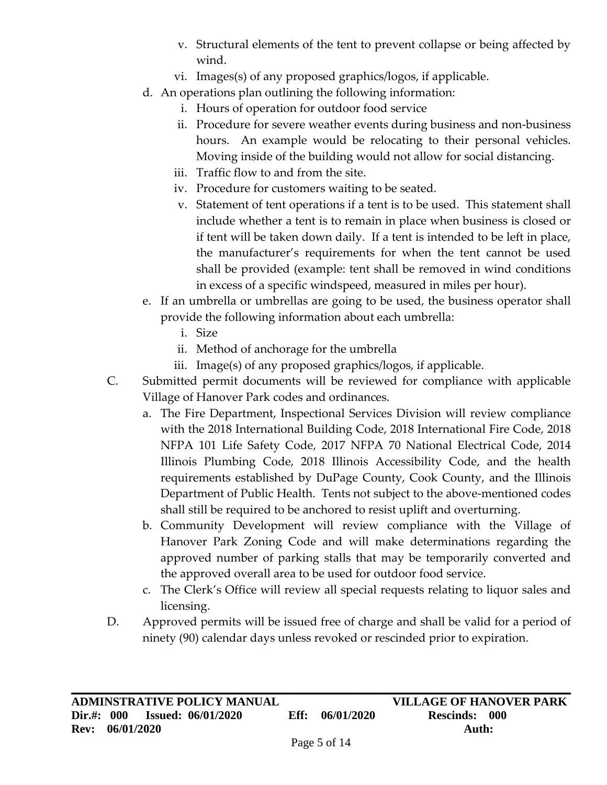- v. Structural elements of the tent to prevent collapse or being affected by wind.
- vi. Images(s) of any proposed graphics/logos, if applicable.
- d. An operations plan outlining the following information:
	- i. Hours of operation for outdoor food service
	- ii. Procedure for severe weather events during business and non-business hours. An example would be relocating to their personal vehicles. Moving inside of the building would not allow for social distancing.
	- iii. Traffic flow to and from the site.
	- iv. Procedure for customers waiting to be seated.
	- v. Statement of tent operations if a tent is to be used. This statement shall include whether a tent is to remain in place when business is closed or if tent will be taken down daily. If a tent is intended to be left in place, the manufacturer's requirements for when the tent cannot be used shall be provided (example: tent shall be removed in wind conditions in excess of a specific windspeed, measured in miles per hour).
- e. If an umbrella or umbrellas are going to be used, the business operator shall provide the following information about each umbrella:
	- i. Size
	- ii. Method of anchorage for the umbrella
	- iii. Image(s) of any proposed graphics/logos, if applicable.
- C. Submitted permit documents will be reviewed for compliance with applicable Village of Hanover Park codes and ordinances.
	- a. The Fire Department, Inspectional Services Division will review compliance with the 2018 International Building Code, 2018 International Fire Code, 2018 NFPA 101 Life Safety Code, 2017 NFPA 70 National Electrical Code, 2014 Illinois Plumbing Code, 2018 Illinois Accessibility Code, and the health requirements established by DuPage County, Cook County, and the Illinois Department of Public Health. Tents not subject to the above-mentioned codes shall still be required to be anchored to resist uplift and overturning.
	- b. Community Development will review compliance with the Village of Hanover Park Zoning Code and will make determinations regarding the approved number of parking stalls that may be temporarily converted and the approved overall area to be used for outdoor food service.
	- c. The Clerk's Office will review all special requests relating to liquor sales and licensing.
- D. Approved permits will be issued free of charge and shall be valid for a period of ninety (90) calendar days unless revoked or rescinded prior to expiration.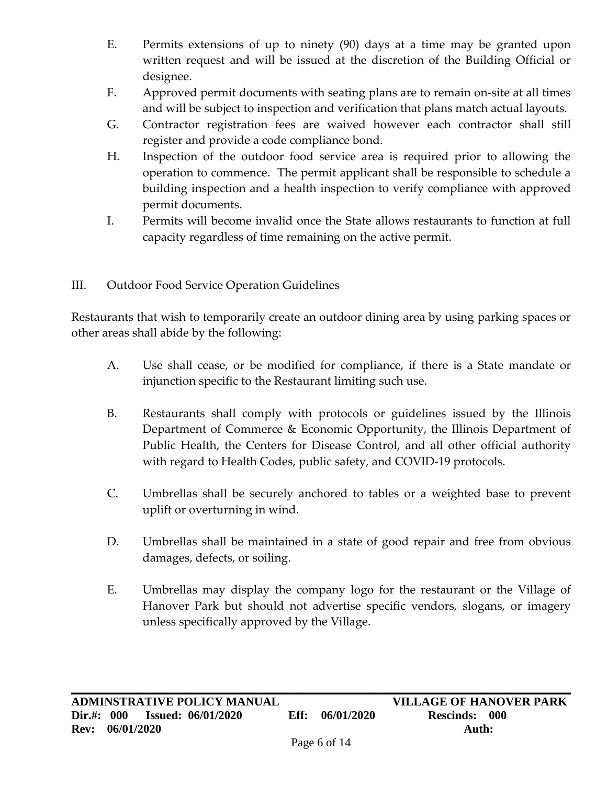- E. Permits extensions of up to ninety (90) days at a time may be granted upon written request and will be issued at the discretion of the Building Official or designee.
- F. Approved permit documents with seating plans are to remain on-site at all times and will be subject to inspection and verification that plans match actual layouts.
- G. Contractor registration fees are waived however each contractor shall still register and provide a code compliance bond.
- H. Inspection of the outdoor food service area is required prior to allowing the operation to commence. The permit applicant shall be responsible to schedule a building inspection and a health inspection to verify compliance with approved permit documents.
- I. Permits will become invalid once the State allows restaurants to function at full capacity regardless of time remaining on the active permit.

# III. Outdoor Food Service Operation Guidelines

Restaurants that wish to temporarily create an outdoor dining area by using parking spaces or other areas shall abide by the following:

- A. Use shall cease, or be modified for compliance, if there is a State mandate or injunction specific to the Restaurant limiting such use.
- B. Restaurants shall comply with protocols or guidelines issued by the Illinois Department of Commerce & Economic Opportunity, the Illinois Department of Public Health, the Centers for Disease Control, and all other official authority with regard to Health Codes, public safety, and COVID-19 protocols.
- C. Umbrellas shall be securely anchored to tables or a weighted base to prevent uplift or overturning in wind.
- D. Umbrellas shall be maintained in a state of good repair and free from obvious damages, defects, or soiling.
- E. Umbrellas may display the company logo for the restaurant or the Village of Hanover Park but should not advertise specific vendors, slogans, or imagery unless specifically approved by the Village.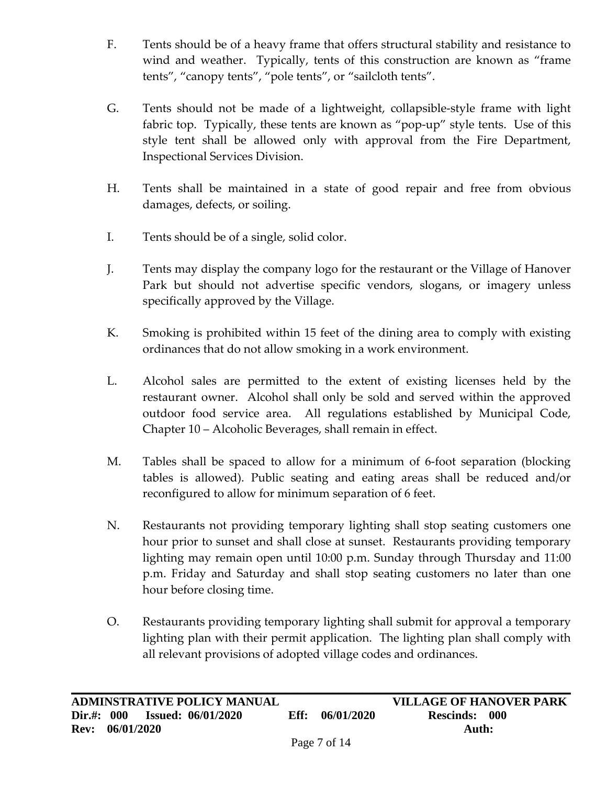- F. Tents should be of a heavy frame that offers structural stability and resistance to wind and weather. Typically, tents of this construction are known as "frame tents", "canopy tents", "pole tents", or "sailcloth tents".
- G. Tents should not be made of a lightweight, collapsible-style frame with light fabric top. Typically, these tents are known as "pop-up" style tents. Use of this style tent shall be allowed only with approval from the Fire Department, Inspectional Services Division.
- H. Tents shall be maintained in a state of good repair and free from obvious damages, defects, or soiling.
- I. Tents should be of a single, solid color.
- J. Tents may display the company logo for the restaurant or the Village of Hanover Park but should not advertise specific vendors, slogans, or imagery unless specifically approved by the Village.
- K. Smoking is prohibited within 15 feet of the dining area to comply with existing ordinances that do not allow smoking in a work environment.
- L. Alcohol sales are permitted to the extent of existing licenses held by the restaurant owner. Alcohol shall only be sold and served within the approved outdoor food service area. All regulations established by Municipal Code, Chapter 10 – Alcoholic Beverages, shall remain in effect.
- M. Tables shall be spaced to allow for a minimum of 6-foot separation (blocking tables is allowed). Public seating and eating areas shall be reduced and/or reconfigured to allow for minimum separation of 6 feet.
- N. Restaurants not providing temporary lighting shall stop seating customers one hour prior to sunset and shall close at sunset. Restaurants providing temporary lighting may remain open until 10:00 p.m. Sunday through Thursday and 11:00 p.m. Friday and Saturday and shall stop seating customers no later than one hour before closing time.
- O. Restaurants providing temporary lighting shall submit for approval a temporary lighting plan with their permit application. The lighting plan shall comply with all relevant provisions of adopted village codes and ordinances.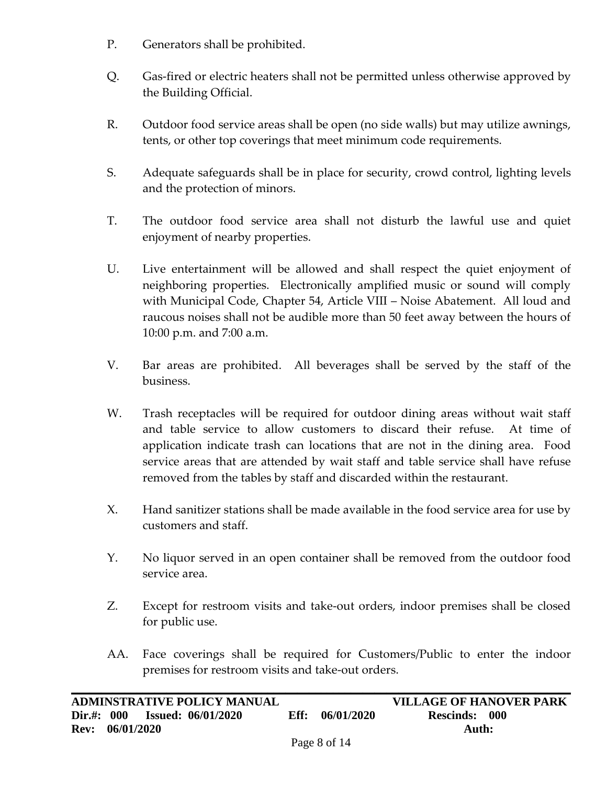- P. Generators shall be prohibited.
- Q. Gas-fired or electric heaters shall not be permitted unless otherwise approved by the Building Official.
- R. Outdoor food service areas shall be open (no side walls) but may utilize awnings, tents, or other top coverings that meet minimum code requirements.
- S. Adequate safeguards shall be in place for security, crowd control, lighting levels and the protection of minors.
- T. The outdoor food service area shall not disturb the lawful use and quiet enjoyment of nearby properties.
- U. Live entertainment will be allowed and shall respect the quiet enjoyment of neighboring properties. Electronically amplified music or sound will comply with Municipal Code, Chapter 54, Article VIII – Noise Abatement. All loud and raucous noises shall not be audible more than 50 feet away between the hours of 10:00 p.m. and 7:00 a.m.
- V. Bar areas are prohibited. All beverages shall be served by the staff of the business.
- W. Trash receptacles will be required for outdoor dining areas without wait staff and table service to allow customers to discard their refuse. At time of application indicate trash can locations that are not in the dining area. Food service areas that are attended by wait staff and table service shall have refuse removed from the tables by staff and discarded within the restaurant.
- X. Hand sanitizer stations shall be made available in the food service area for use by customers and staff.
- Y. No liquor served in an open container shall be removed from the outdoor food service area.
- Z. Except for restroom visits and take-out orders, indoor premises shall be closed for public use.
- AA. Face coverings shall be required for Customers/Public to enter the indoor premises for restroom visits and take-out orders.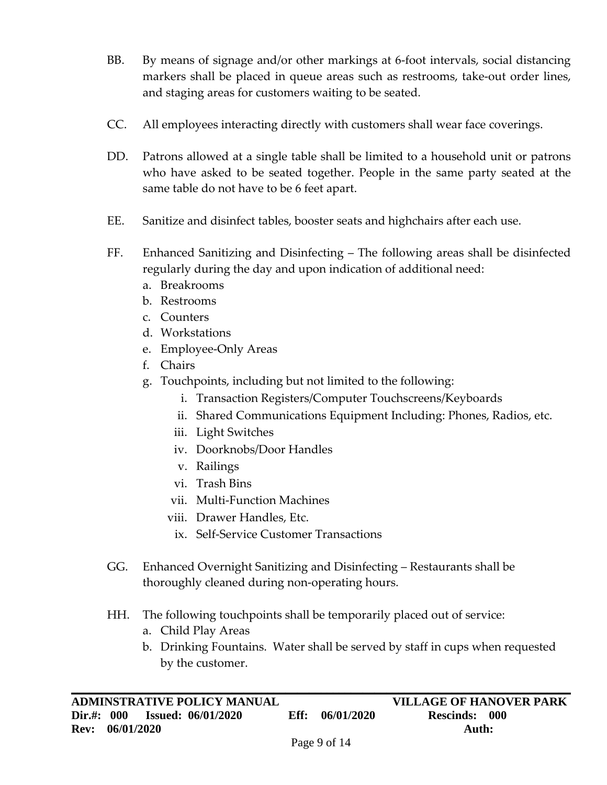- BB. By means of signage and/or other markings at 6-foot intervals, social distancing markers shall be placed in queue areas such as restrooms, take-out order lines, and staging areas for customers waiting to be seated.
- CC. All employees interacting directly with customers shall wear face coverings.
- DD. Patrons allowed at a single table shall be limited to a household unit or patrons who have asked to be seated together. People in the same party seated at the same table do not have to be 6 feet apart.
- EE. Sanitize and disinfect tables, booster seats and highchairs after each use.
- FF. Enhanced Sanitizing and Disinfecting The following areas shall be disinfected regularly during the day and upon indication of additional need:
	- a. Breakrooms
	- b. Restrooms
	- c. Counters
	- d. Workstations
	- e. Employee-Only Areas
	- f. Chairs
	- g. Touchpoints, including but not limited to the following:
		- i. Transaction Registers/Computer Touchscreens/Keyboards
		- ii. Shared Communications Equipment Including: Phones, Radios, etc.
		- iii. Light Switches
		- iv. Doorknobs/Door Handles
		- v. Railings
		- vi. Trash Bins
		- vii. Multi-Function Machines
		- viii. Drawer Handles, Etc.
			- ix. Self-Service Customer Transactions
- GG. Enhanced Overnight Sanitizing and Disinfecting Restaurants shall be thoroughly cleaned during non-operating hours.
- HH. The following touchpoints shall be temporarily placed out of service:
	- a. Child Play Areas
	- b. Drinking Fountains. Water shall be served by staff in cups when requested by the customer.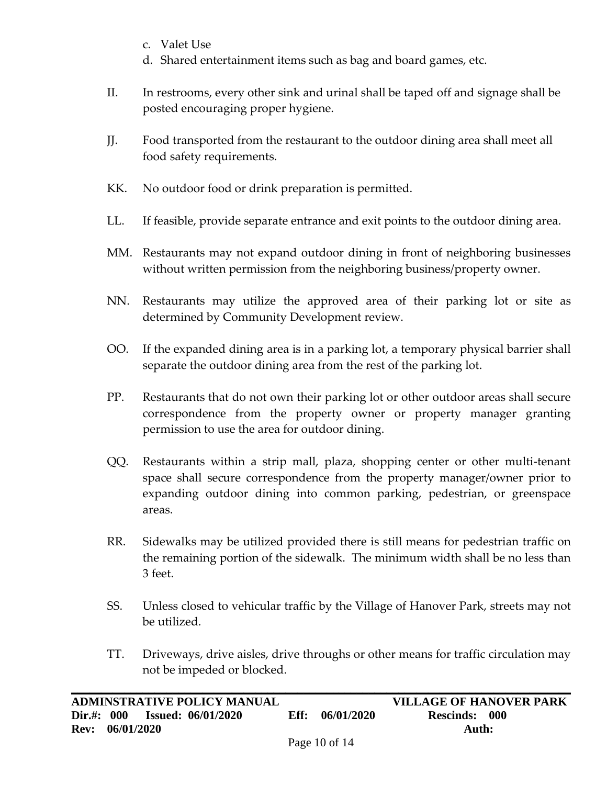- c. Valet Use
- d. Shared entertainment items such as bag and board games, etc.
- II. In restrooms, every other sink and urinal shall be taped off and signage shall be posted encouraging proper hygiene.
- JJ. Food transported from the restaurant to the outdoor dining area shall meet all food safety requirements.
- KK. No outdoor food or drink preparation is permitted.
- LL. If feasible, provide separate entrance and exit points to the outdoor dining area.
- MM. Restaurants may not expand outdoor dining in front of neighboring businesses without written permission from the neighboring business/property owner.
- NN. Restaurants may utilize the approved area of their parking lot or site as determined by Community Development review.
- OO. If the expanded dining area is in a parking lot, a temporary physical barrier shall separate the outdoor dining area from the rest of the parking lot.
- PP. Restaurants that do not own their parking lot or other outdoor areas shall secure correspondence from the property owner or property manager granting permission to use the area for outdoor dining.
- QQ. Restaurants within a strip mall, plaza, shopping center or other multi-tenant space shall secure correspondence from the property manager/owner prior to expanding outdoor dining into common parking, pedestrian, or greenspace areas.
- RR. Sidewalks may be utilized provided there is still means for pedestrian traffic on the remaining portion of the sidewalk. The minimum width shall be no less than 3 feet.
- SS. Unless closed to vehicular traffic by the Village of Hanover Park, streets may not be utilized.
- TT. Driveways, drive aisles, drive throughs or other means for traffic circulation may not be impeded or blocked.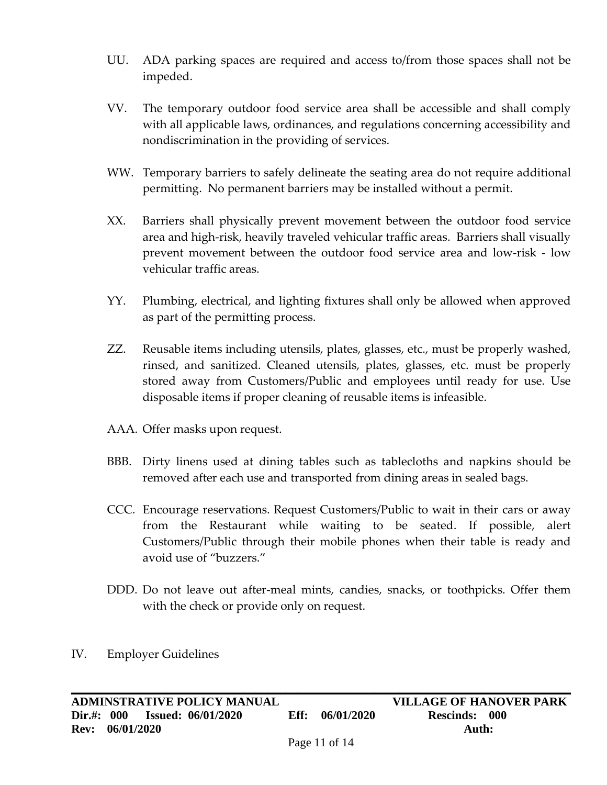- UU. ADA parking spaces are required and access to/from those spaces shall not be impeded.
- VV. The temporary outdoor food service area shall be accessible and shall comply with all applicable laws, ordinances, and regulations concerning accessibility and nondiscrimination in the providing of services.
- WW. Temporary barriers to safely delineate the seating area do not require additional permitting. No permanent barriers may be installed without a permit.
- XX. Barriers shall physically prevent movement between the outdoor food service area and high-risk, heavily traveled vehicular traffic areas. Barriers shall visually prevent movement between the outdoor food service area and low-risk - low vehicular traffic areas.
- YY. Plumbing, electrical, and lighting fixtures shall only be allowed when approved as part of the permitting process.
- ZZ. Reusable items including utensils, plates, glasses, etc., must be properly washed, rinsed, and sanitized. Cleaned utensils, plates, glasses, etc. must be properly stored away from Customers/Public and employees until ready for use. Use disposable items if proper cleaning of reusable items is infeasible.
- AAA. Offer masks upon request.
- BBB. Dirty linens used at dining tables such as tablecloths and napkins should be removed after each use and transported from dining areas in sealed bags.
- CCC. Encourage reservations. Request Customers/Public to wait in their cars or away from the Restaurant while waiting to be seated. If possible, alert Customers/Public through their mobile phones when their table is ready and avoid use of "buzzers."
- DDD. Do not leave out after-meal mints, candies, snacks, or toothpicks. Offer them with the check or provide only on request.

#### IV. Employer Guidelines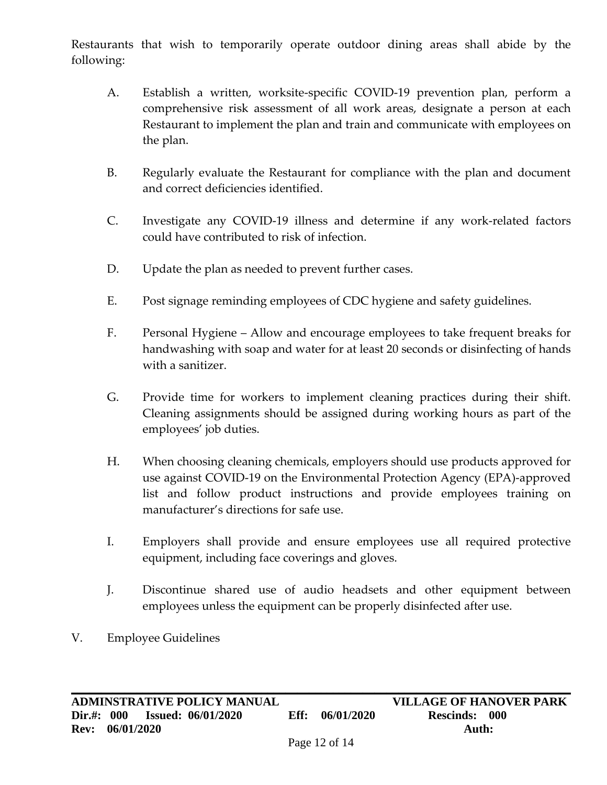Restaurants that wish to temporarily operate outdoor dining areas shall abide by the following:

- A. Establish a written, worksite-specific COVID-19 prevention plan, perform a comprehensive risk assessment of all work areas, designate a person at each Restaurant to implement the plan and train and communicate with employees on the plan.
- B. Regularly evaluate the Restaurant for compliance with the plan and document and correct deficiencies identified.
- C. Investigate any COVID-19 illness and determine if any work-related factors could have contributed to risk of infection.
- D. Update the plan as needed to prevent further cases.
- E. Post signage reminding employees of CDC hygiene and safety guidelines.
- F. Personal Hygiene Allow and encourage employees to take frequent breaks for handwashing with soap and water for at least 20 seconds or disinfecting of hands with a sanitizer.
- G. Provide time for workers to implement cleaning practices during their shift. Cleaning assignments should be assigned during working hours as part of the employees' job duties.
- H. When choosing cleaning chemicals, employers should use products approved for use against COVID-19 on the Environmental Protection Agency (EPA)-approved list and follow product instructions and provide employees training on manufacturer's directions for safe use.
- I. Employers shall provide and ensure employees use all required protective equipment, including face coverings and gloves.
- J. Discontinue shared use of audio headsets and other equipment between employees unless the equipment can be properly disinfected after use.
- V. Employee Guidelines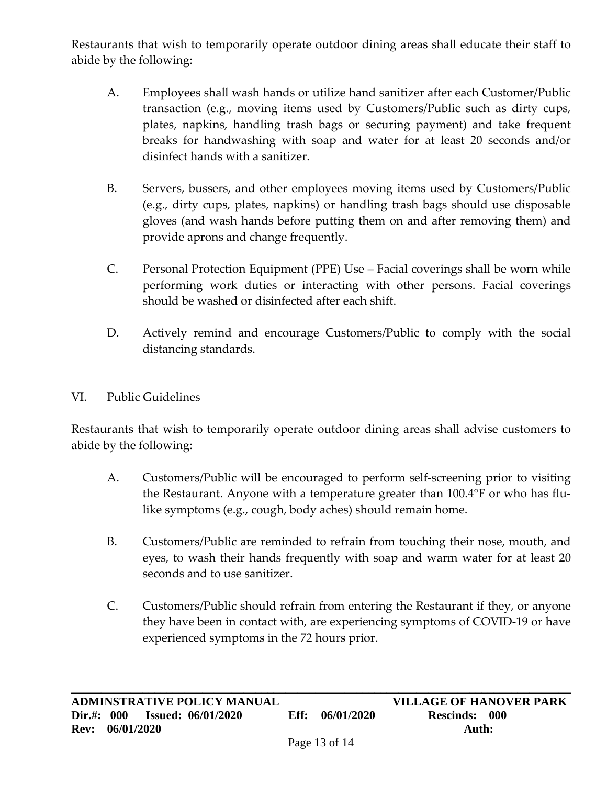Restaurants that wish to temporarily operate outdoor dining areas shall educate their staff to abide by the following:

- A. Employees shall wash hands or utilize hand sanitizer after each Customer/Public transaction (e.g., moving items used by Customers/Public such as dirty cups, plates, napkins, handling trash bags or securing payment) and take frequent breaks for handwashing with soap and water for at least 20 seconds and/or disinfect hands with a sanitizer.
- B. Servers, bussers, and other employees moving items used by Customers/Public (e.g., dirty cups, plates, napkins) or handling trash bags should use disposable gloves (and wash hands before putting them on and after removing them) and provide aprons and change frequently.
- C. Personal Protection Equipment (PPE) Use Facial coverings shall be worn while performing work duties or interacting with other persons. Facial coverings should be washed or disinfected after each shift.
- D. Actively remind and encourage Customers/Public to comply with the social distancing standards.

## VI. Public Guidelines

Restaurants that wish to temporarily operate outdoor dining areas shall advise customers to abide by the following:

- A. Customers/Public will be encouraged to perform self-screening prior to visiting the Restaurant. Anyone with a temperature greater than 100.4°F or who has flulike symptoms (e.g., cough, body aches) should remain home.
- B. Customers/Public are reminded to refrain from touching their nose, mouth, and eyes, to wash their hands frequently with soap and warm water for at least 20 seconds and to use sanitizer.
- C. Customers/Public should refrain from entering the Restaurant if they, or anyone they have been in contact with, are experiencing symptoms of COVID-19 or have experienced symptoms in the 72 hours prior.